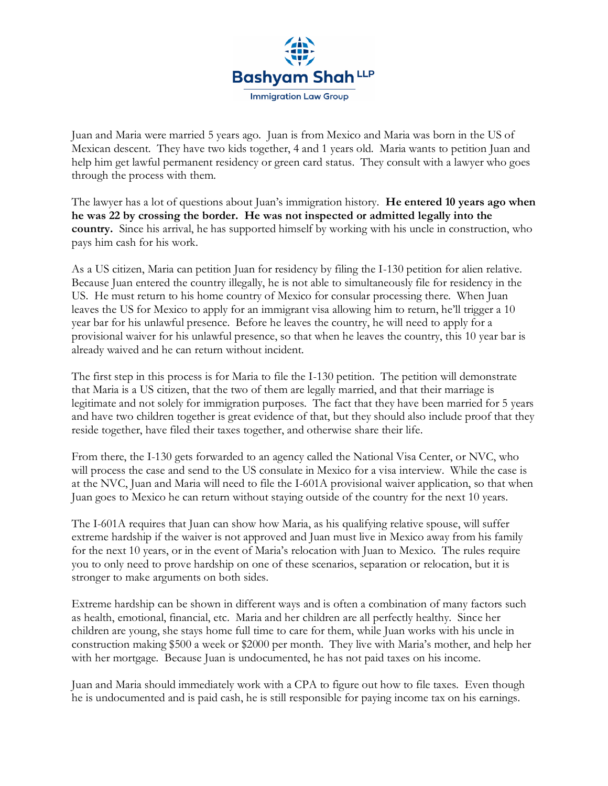

Juan and Maria were married 5 years ago. Juan is from Mexico and Maria was born in the US of Mexican descent. They have two kids together, 4 and 1 years old. Maria wants to petition Juan and help him get lawful permanent residency or green card status. They consult with a lawyer who goes through the process with them.

The lawyer has a lot of questions about Juan's immigration history. **He entered 10 years ago when he was 22 by crossing the border. He was not inspected or admitted legally into the country.** Since his arrival, he has supported himself by working with his uncle in construction, who pays him cash for his work.

As a US citizen, Maria can petition Juan for residency by filing the I-130 petition for alien relative. Because Juan entered the country illegally, he is not able to simultaneously file for residency in the US. He must return to his home country of Mexico for consular processing there. When Juan leaves the US for Mexico to apply for an immigrant visa allowing him to return, he'll trigger a 10 year bar for his unlawful presence. Before he leaves the country, he will need to apply for a provisional waiver for his unlawful presence, so that when he leaves the country, this 10 year bar is already waived and he can return without incident.

The first step in this process is for Maria to file the I-130 petition. The petition will demonstrate that Maria is a US citizen, that the two of them are legally married, and that their marriage is legitimate and not solely for immigration purposes. The fact that they have been married for 5 years and have two children together is great evidence of that, but they should also include proof that they reside together, have filed their taxes together, and otherwise share their life.

From there, the I-130 gets forwarded to an agency called the National Visa Center, or NVC, who will process the case and send to the US consulate in Mexico for a visa interview. While the case is at the NVC, Juan and Maria will need to file the I-601A provisional waiver application, so that when Juan goes to Mexico he can return without staying outside of the country for the next 10 years.

The I-601A requires that Juan can show how Maria, as his qualifying relative spouse, will suffer extreme hardship if the waiver is not approved and Juan must live in Mexico away from his family for the next 10 years, or in the event of Maria's relocation with Juan to Mexico. The rules require you to only need to prove hardship on one of these scenarios, separation or relocation, but it is stronger to make arguments on both sides.

Extreme hardship can be shown in different ways and is often a combination of many factors such as health, emotional, financial, etc. Maria and her children are all perfectly healthy. Since her children are young, she stays home full time to care for them, while Juan works with his uncle in construction making \$500 a week or \$2000 per month. They live with Maria's mother, and help her with her mortgage. Because Juan is undocumented, he has not paid taxes on his income.

Juan and Maria should immediately work with a CPA to figure out how to file taxes. Even though he is undocumented and is paid cash, he is still responsible for paying income tax on his earnings.